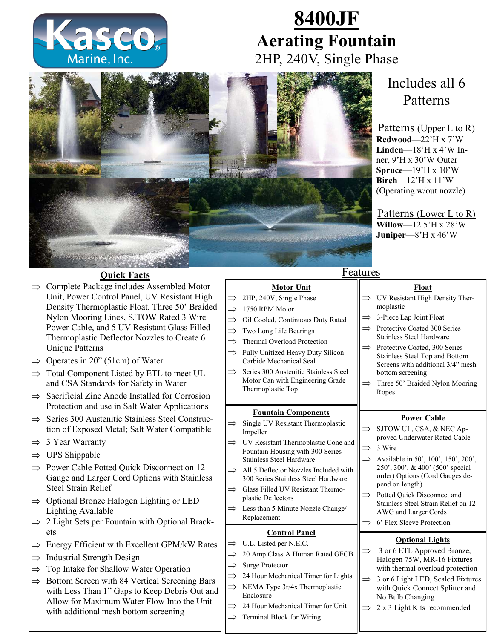

# **8400JF Aerating Fountain**  2HP, 240V, Single Phase



## Includes all 6 Patterns

Patterns (Upper L to R) **Redwood**—22'H x 7'W **Linden**—18'H x 4'W Inner, 9'H x 30'W Outer **Spruce**—19'H x 10'W **Birch**—12'H x 11'W (Operating w/out nozzle)

Patterns (Lower L to R) **Willow**—12.5'H x 28'W **Juniper**—8'H x 46'W

**Float** UV Resistant High Density Ther-

moplastic

 $\Rightarrow$  3-Piece Lap Joint Float

## **Quick Facts**

- $\Rightarrow$  Complete Package includes Assembled Motor Unit, Power Control Panel, UV Resistant High Density Thermoplastic Float, Three 50' Braided Nylon Mooring Lines, SJTOW Rated 3 Wire Power Cable, and 5 UV Resistant Glass Filled Thermoplastic Deflector Nozzles to Create 6 Unique Patterns
- $\Rightarrow$  Operates in 20" (51cm) of Water
- $\Rightarrow$  Total Component Listed by ETL to meet UL and CSA Standards for Safety in Water
- $\Rightarrow$  Sacrificial Zinc Anode Installed for Corrosion Protection and use in Salt Water Applications
- $\Rightarrow$  Series 300 Austenitic Stainless Steel Construction of Exposed Metal; Salt Water Compatible
- $\Rightarrow$  3 Year Warranty
- $\Rightarrow$  UPS Shippable
- $\Rightarrow$  Power Cable Potted Ouick Disconnect on 12 Gauge and Larger Cord Options with Stainless Steel Strain Relief
- $\Rightarrow$  Optional Bronze Halogen Lighting or LED Lighting Available
- $\Rightarrow$  2 Light Sets per Fountain with Optional Brackets
- $\Rightarrow$  Energy Efficient with Excellent GPM/kW Rates
- $\Rightarrow$  Industrial Strength Design
- $\Rightarrow$  Top Intake for Shallow Water Operation
- $\Rightarrow$  Bottom Screen with 84 Vertical Screening Bars with Less Than 1" Gaps to Keep Debris Out and Allow for Maximum Water Flow Into the Unit with additional mesh bottom screening

## **Motor Unit**

Features

- $\implies$  2HP, 240V, Single Phase
- $\implies$  1750 RPM Motor
- $\implies$  Oil Cooled, Continuous Duty Rated
- $\implies$  Two Long Life Bearings
- $\implies$  Thermal Overload Protection
- $\implies$  Fully Unitized Heavy Duty Silicon Carbide Mechanical Seal
- $\implies$  Series 300 Austenitic Stainless Steel Motor Can with Engineering Grade Thermoplastic Top

#### **Fountain Components**

- $\implies$  Single UV Resistant Thermoplastic Impeller
- $\implies$  UV Resistant Thermoplastic Cone and Fountain Housing with 300 Series Stainless Steel Hardware
- $\implies$  All 5 Deflector Nozzles Included with 300 Series Stainless Steel Hardware
- $\implies$  Glass Filled UV Resistant Thermoplastic Deflectors
- $\implies$  Less than 5 Minute Nozzle Change/ Replacement

## **Control Panel**

- $\Rightarrow$  U.L. Listed per N.E.C.
- $\implies$  20 Amp Class A Human Rated GFCB
- $\implies$  Surge Protector
- $\implies$  24 Hour Mechanical Timer for Lights
- $\implies$  NEMA Type 3r/4x Thermoplastic Enclosure
- $\implies$  24 Hour Mechanical Timer for Unit
- $\implies$  Terminal Block for Wiring

#### $\implies$  Protective Coated 300 Series Stainless Steel Hardware  $\implies$  Protective Coated, 300 Series Stainless Steel Top and Bottom Screens with additional 3/4" mesh bottom screening

 $\implies$  Three 50' Braided Nylon Mooring Ropes

#### **Power Cable**

- SJTOW UL, CSA, & NEC Approved Underwater Rated Cable
- 3 Wire
- $\implies$  Available in 50', 100', 150', 200', 250', 300', & 400' (500' special order) Options (Cord Gauges depend on length)
- $\Rightarrow$  Potted Ouick Disconnect and Stainless Steel Strain Relief on 12 AWG and Larger Cords
- $\Rightarrow$  6' Flex Sleeve Protection

## **Optional Lights**

- 3 or 6 ETL Approved Bronze, Halogen 75W, MR-16 Fixtures with thermal overload protection
- $\implies$  3 or 6 Light LED, Sealed Fixtures with Quick Connect Splitter and No Bulb Changing
- $\Rightarrow$  2 x 3 Light Kits recommended